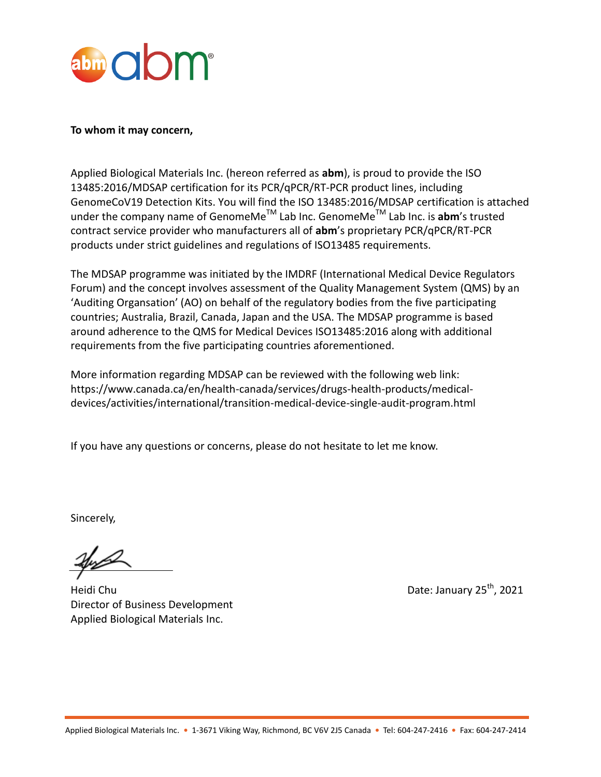

#### **To whom it may concern,**

Applied Biological Materials Inc. (hereon referred as **abm**), is proud to provide the ISO 13485:2016/MDSAP certification for its PCR/qPCR/RT-PCR product lines, including GenomeCoV19 Detection Kits. You will find the ISO 13485:2016/MDSAP certification is attached under the company name of GenomeMe<sup>™</sup> Lab Inc. GenomeMe<sup>™</sup> Lab Inc. is **abm's trusted** contract service provider who manufacturers all of **abm**'s proprietary PCR/qPCR/RT-PCR products under strict guidelines and regulations of ISO13485 requirements.

The MDSAP programme was initiated by the IMDRF (International Medical Device Regulators Forum) and the concept involves assessment of the Quality Management System (QMS) by an 'Auditing Organsation' (AO) on behalf of the regulatory bodies from the five participating countries; Australia, Brazil, Canada, Japan and the USA. The MDSAP programme is based around adherence to the QMS for Medical Devices ISO13485:2016 along with additional requirements from the five participating countries aforementioned.

More information regarding MDSAP can be reviewed with the following web link: https://www.canada.ca/en/health-canada/services/drugs-health-products/medicaldevices/activities/international/transition-medical-device-single-audit-program.html

If you have any questions or concerns, please do not hesitate to let me know.

Sincerely,

Heidi Chu Date: January 25<sup>th</sup>, 2021 Director of Business Development Applied Biological Materials Inc.